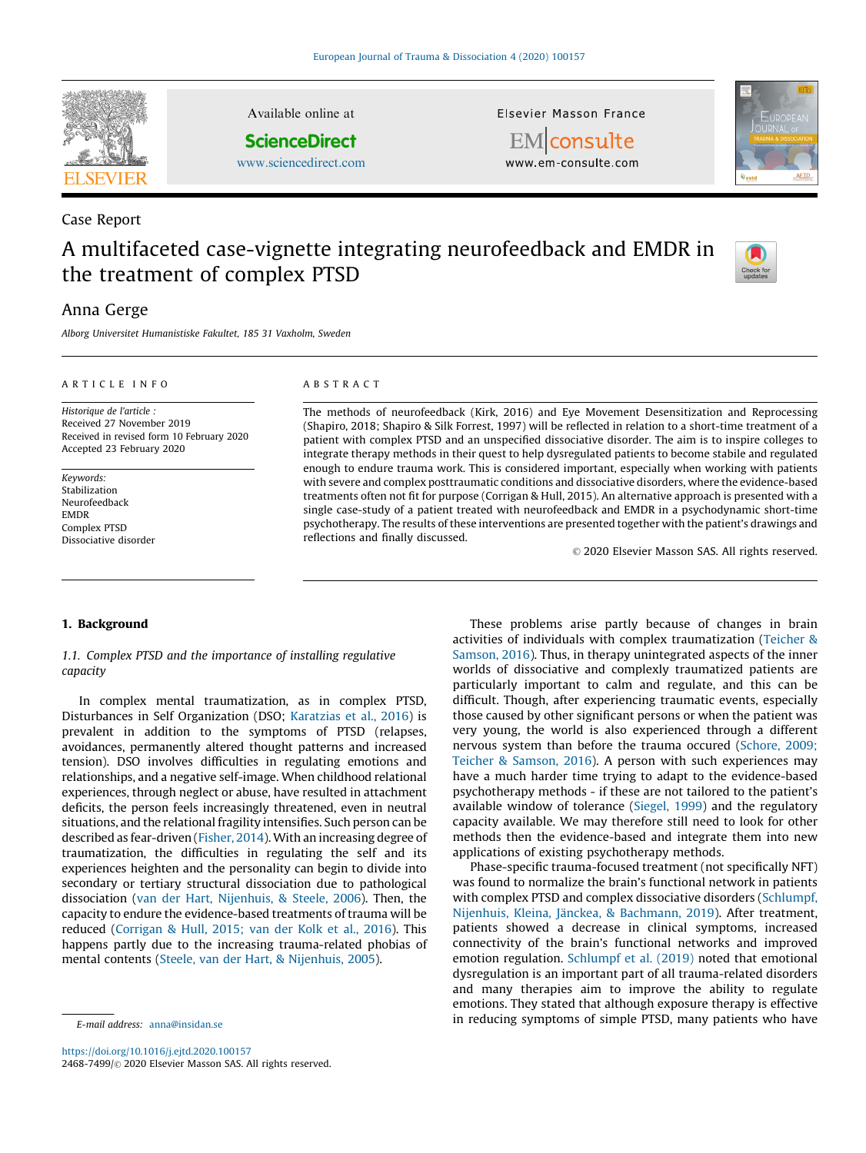

Case Report

# A multifaceted case-vignette integrating neurofeedback and EMDR in the treatment of complex PTSD



## Anna Gerge

Alborg Universitet Humanistiske Fakultet, 185 31 Vaxholm, Sweden

#### A R T I C L E I N F O

Historique de l'article : Received 27 November 2019 Received in revised form 10 February 2020 Accepted 23 February 2020

Keywords: Stabilization Neurofeedback EMDR Complex PTSD Dissociative disorder

## A B S T R A C T

Available online at **ScienceDirect** [www.sciencedirect.com](http://www.sciencedirect.com/science/journal/24687499)

> The methods of neurofeedback (Kirk, 2016) and Eye Movement Desensitization and Reprocessing (Shapiro, 2018; Shapiro & Silk Forrest, 1997) will be reflected in relation to a short-time treatment of a patient with complex PTSD and an unspecified dissociative disorder. The aim is to inspire colleges to integrate therapy methods in their quest to help dysregulated patients to become stabile and regulated enough to endure trauma work. This is considered important, especially when working with patients with severe and complex posttraumatic conditions and dissociative disorders, where the evidence-based treatments often not fit for purpose (Corrigan & Hull, 2015). An alternative approach is presented with a single case-study of a patient treated with neurofeedback and EMDR in a psychodynamic short-time psychotherapy. The results of these interventions are presented together with the patient's drawings and reflections and finally discussed.

Elsevier Masson France EMconsulte www.em-consulte.com

© 2020 Elsevier Masson SAS. All rights reserved.

#### 1. Background

1.1. Complex PTSD and the importance of installing regulative capacity

In complex mental traumatization, as in complex PTSD, Disturbances in Self Organization (DSO; [Karatzias](#page-5-0) et al., 2016) is prevalent in addition to the symptoms of PTSD (relapses, avoidances, permanently altered thought patterns and increased tension). DSO involves difficulties in regulating emotions and relationships, and a negative self-image. When childhood relational experiences, through neglect or abuse, have resulted in attachment deficits, the person feels increasingly threatened, even in neutral situations, and the relational fragility intensifies. Such person can be described as fear-driven [\(Fisher,](#page-5-0) 2014). With an increasing degree of traumatization, the difficulties in regulating the self and its experiences heighten and the personality can begin to divide into secondary or tertiary structural dissociation due to pathological dissociation (van der Hart, [Nijenhuis,](#page-6-0) & Steele, 2006). Then, the capacity to endure the evidence-based treatments of trauma will be reduced ([Corrigan](#page-5-0) & Hull, 2015; van der Kolk et al., 2016). This happens partly due to the increasing trauma-related phobias of mental contents (Steele, van der Hart, & [Nijenhuis,](#page-5-0) 2005).

<https://doi.org/10.1016/j.ejtd.2020.100157> 2468-7499/© 2020 Elsevier Masson SAS. All rights reserved.

These problems arise partly because of changes in brain activities of individuals with complex traumatization [\(Teicher](#page-5-0) & [Samson,](#page-5-0) 2016). Thus, in therapy unintegrated aspects of the inner worlds of dissociative and complexly traumatized patients are particularly important to calm and regulate, and this can be difficult. Though, after experiencing traumatic events, especially those caused by other significant persons or when the patient was very young, the world is also experienced through a different nervous system than before the trauma occured [\(Schore,](#page-5-0) 2009; Teicher & [Samson,](#page-5-0) 2016). A person with such experiences may have a much harder time trying to adapt to the evidence-based psychotherapy methods - if these are not tailored to the patient's available window of tolerance [\(Siegel,](#page-5-0) 1999) and the regulatory capacity available. We may therefore still need to look for other methods then the evidence-based and integrate them into new applications of existing psychotherapy methods.

Phase-specific trauma-focused treatment (not specifically NFT) was found to normalize the brain's functional network in patients with complex PTSD and complex dissociative disorders ([Schlumpf,](#page-5-0) Nijenhuis, Kleina, Jänckea, & [Bachmann,](#page-5-0) 2019). After treatment, patients showed a decrease in clinical symptoms, increased connectivity of the brain's functional networks and improved emotion regulation. [Schlumpf](#page-5-0) et al. (2019) noted that emotional dysregulation is an important part of all trauma-related disorders and many therapies aim to improve the ability to regulate emotions. They stated that although exposure therapy is effective in reducing symptoms of simple PTSD, many patients who have

E-mail address: [anna@insidan.se](mailto:anna@insidan.se)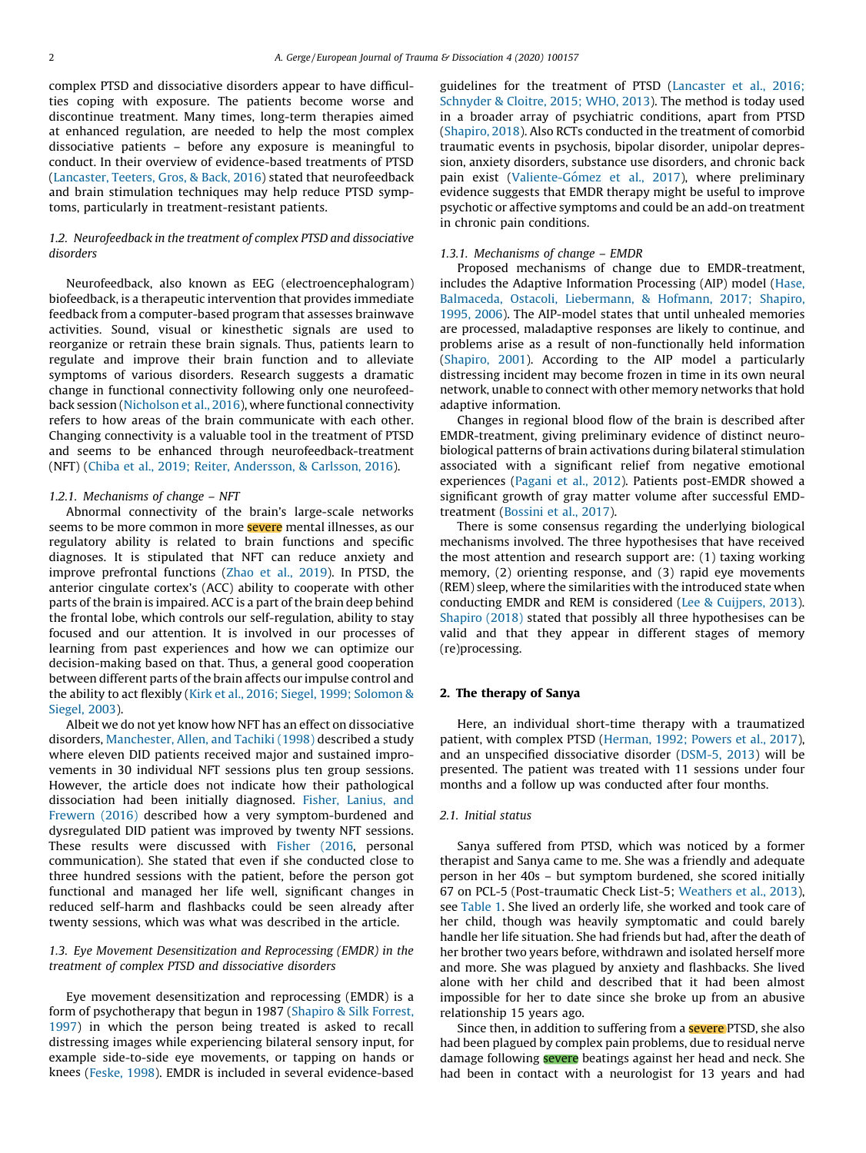complex PTSD and dissociative disorders appear to have difficulties coping with exposure. The patients become worse and discontinue treatment. Many times, long-term therapies aimed at enhanced regulation, are needed to help the most complex dissociative patients – before any exposure is meaningful to conduct. In their overview of evidence-based treatments of PTSD ([Lancaster,](#page-5-0) Teeters, Gros, & Back, 2016) stated that neurofeedback and brain stimulation techniques may help reduce PTSD symptoms, particularly in treatment-resistant patients.

## 1.2. Neurofeedback in the treatment of complex PTSD and dissociative disorders

Neurofeedback, also known as EEG (electroencephalogram) biofeedback, is a therapeutic intervention that provides immediate feedback from a computer-based program that assesses brainwave activities. Sound, visual or kinesthetic signals are used to reorganize or retrain these brain signals. Thus, patients learn to regulate and improve their brain function and to alleviate symptoms of various disorders. Research suggests a dramatic change in functional connectivity following only one neurofeedback session [\(Nicholson](#page-5-0) et al., 2016), where functional connectivity refers to how areas of the brain communicate with each other. Changing connectivity is a valuable tool in the treatment of PTSD and seems to be enhanced through neurofeedback-treatment (NFT) (Chiba et al., 2019; Reiter, [Andersson,](#page-5-0) & Carlsson, 2016).

## 1.2.1. Mechanisms of change – NFT

Abnormal connectivity of the brain's large-scale networks seems to be more common in more **severe** mental illnesses, as our regulatory ability is related to brain functions and specific diagnoses. It is stipulated that NFT can reduce anxiety and improve prefrontal functions (Zhao et al., [2019](#page-6-0)). In PTSD, the anterior cingulate cortex's (ACC) ability to cooperate with other parts of the brain is impaired. ACC is a part of the brain deep behind the frontal lobe, which controls our self-regulation, ability to stay focused and our attention. It is involved in our processes of learning from past experiences and how we can optimize our decision-making based on that. Thus, a general good cooperation between different parts of the brain affects our impulse control and the ability to act flexibly (Kirk et al., 2016; Siegel, 1999; [Solomon](#page-5-0) & [Siegel,](#page-5-0) 2003).

Albeit we do not yet know how NFT has an effect on dissociative disorders, [Manchester,](#page-5-0) Allen, and Tachiki (1998) described a study where eleven DID patients received major and sustained improvements in 30 individual NFT sessions plus ten group sessions. However, the article does not indicate how their pathological dissociation had been initially diagnosed. Fisher, [Lanius,](#page-5-0) and [Frewern](#page-5-0) (2016) described how a very symptom-burdened and dysregulated DID patient was improved by twenty NFT sessions. These results were discussed with [Fisher](#page-5-0) (2016, personal communication). She stated that even if she conducted close to three hundred sessions with the patient, before the person got functional and managed her life well, significant changes in reduced self-harm and flashbacks could be seen already after twenty sessions, which was what was described in the article.

## 1.3. Eye Movement Desensitization and Reprocessing (EMDR) in the treatment of complex PTSD and dissociative disorders

Eye movement desensitization and reprocessing (EMDR) is a form of psychotherapy that begun in 1987 ([Shapiro](#page-5-0) & Silk Forrest, [1997](#page-5-0)) in which the person being treated is asked to recall distressing images while experiencing bilateral sensory input, for example side-to-side eye movements, or tapping on hands or knees ([Feske,](#page-5-0) 1998). EMDR is included in several evidence-based guidelines for the treatment of PTSD ([Lancaster](#page-5-0) et al., 2016; [Schnyder](#page-5-0) & Cloitre, 2015; WHO, 2013). The method is today used in a broader array of psychiatric conditions, apart from PTSD ([Shapiro,](#page-5-0) 2018). Also RCTs conducted in the treatment of comorbid traumatic events in psychosis, bipolar disorder, unipolar depression, anxiety disorders, substance use disorders, and chronic back pain exist (Valiente-Gómez et al., 2017), where preliminary evidence suggests that EMDR therapy might be useful to improve psychotic or affective symptoms and could be an add-on treatment in chronic pain conditions.

#### 1.3.1. Mechanisms of change – EMDR

Proposed mechanisms of change due to EMDR-treatment, includes the Adaptive Information Processing (AIP) model [\(Hase,](#page-5-0) Balmaceda, Ostacoli, [Liebermann,](#page-5-0) & Hofmann, 2017; Shapiro, [1995,](#page-5-0) 2006). The AIP-model states that until unhealed memories are processed, maladaptive responses are likely to continue, and problems arise as a result of non-functionally held information ([Shapiro,](#page-5-0) 2001). According to the AIP model a particularly distressing incident may become frozen in time in its own neural network, unable to connect with other memory networks that hold adaptive information.

Changes in regional blood flow of the brain is described after EMDR-treatment, giving preliminary evidence of distinct neurobiological patterns of brain activations during bilateral stimulation associated with a significant relief from negative emotional experiences [\(Pagani](#page-5-0) et al., 2012). Patients post-EMDR showed a significant growth of gray matter volume after successful EMDtreatment ([Bossini](#page-5-0) et al., 2017).

There is some consensus regarding the underlying biological mechanisms involved. The three hypothesises that have received the most attention and research support are: (1) taxing working memory, (2) orienting response, and (3) rapid eye movements (REM) sleep, where the similarities with the introduced state when conducting EMDR and REM is considered (Lee & [Cuijpers,](#page-5-0) 2013). [Shapiro](#page-5-0) (2018) stated that possibly all three hypothesises can be valid and that they appear in different stages of memory (re)processing.

#### 2. The therapy of Sanya

Here, an individual short-time therapy with a traumatized patient, with complex PTSD [\(Herman,](#page-5-0) 1992; Powers et al., 2017), and an unspecified dissociative disorder [\(DSM-5,](#page-5-0) 2013) will be presented. The patient was treated with 11 sessions under four months and a follow up was conducted after four months.

## 2.1. Initial status

Sanya suffered from PTSD, which was noticed by a former therapist and Sanya came to me. She was a friendly and adequate person in her 40s – but symptom burdened, she scored initially 67 on PCL-5 (Post-traumatic Check List-5; [Weathers](#page-6-0) et al., 2013), see [Table](#page-2-0) 1. She lived an orderly life, she worked and took care of her child, though was heavily symptomatic and could barely handle her life situation. She had friends but had, after the death of her brother two years before, withdrawn and isolated herself more and more. She was plagued by anxiety and flashbacks. She lived alone with her child and described that it had been almost impossible for her to date since she broke up from an abusive relationship 15 years ago.

Since then, in addition to suffering from a **severe** PTSD, she also had been plagued by complex pain problems, due to residual nerve damage following **severe** beatings against her head and neck. She had been in contact with a neurologist for 13 years and had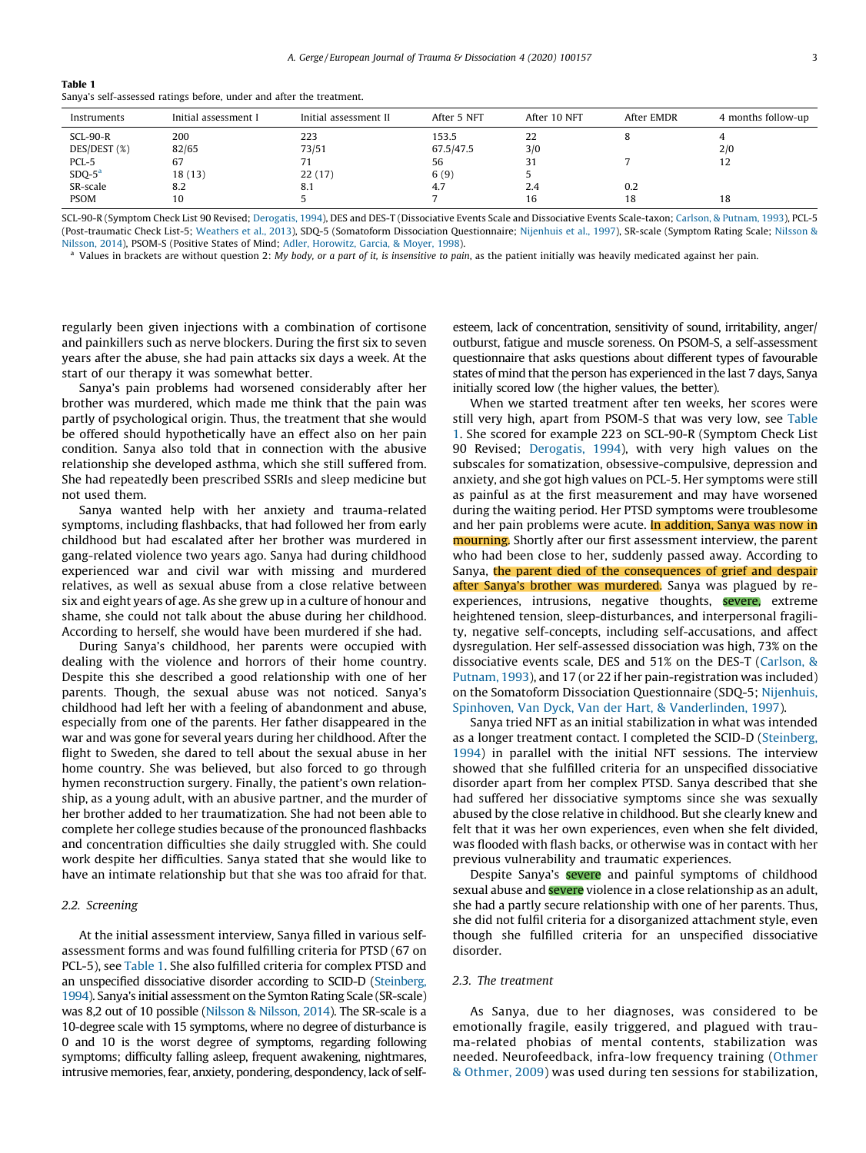<span id="page-2-0"></span>

| $\sim$<br>$\sim$<br>$\sim$ |  |
|----------------------------|--|
|----------------------------|--|

Sanya's self-assessed ratings before, under and after the treatment.

| Instruments  | Initial assessment I | Initial assessment II | After 5 NFT | After 10 NFT | After EMDR | 4 months follow-up |
|--------------|----------------------|-----------------------|-------------|--------------|------------|--------------------|
| $SCL-90-R$   | 200                  | 223                   | 153.5       | 22           |            |                    |
| DES/DEST (%) | 82/65                | 73/51                 | 67.5/47.5   | 3/0          |            | 2/0                |
| PCL-5        | 67                   | 71                    | 56          | 31           |            | 12                 |
| $SDQ-5a$     | 18(13)               | 22(17)                | 6(9)        |              |            |                    |
| SR-scale     | 8.2                  | 8.1                   | 4.7         | 2.4          | 0.2        |                    |
| <b>PSOM</b>  | 10                   |                       |             | 16           | 18         | 18                 |

SCL-90-R (Symptom Check List 90 Revised; [Derogatis,](#page-5-0) 1994), DES and DES-T (Dissociative Events Scale and Dissociative Events Scale-taxon; Carlson, & [Putnam,](#page-5-0) 1993), PCL-5 (Post-traumatic Check List-5; [Weathers](#page-6-0) et al., 2013), SDQ-5 (Somatoform Dissociation Questionnaire; [Nijenhuis](#page-5-0) et al., 1997), SR-scale (Symptom Rating Scale; [Nilsson](#page-5-0) & [Nilsson,](#page-5-0) 2014), PSOM-S (Positive States of Mind; Adler, [Horowitz,](#page-5-0) Garcia, & Moyer, 1998).

Values in brackets are without question 2: My body, or a part of it, is insensitive to pain, as the patient initially was heavily medicated against her pain.

regularly been given injections with a combination of cortisone and painkillers such as nerve blockers. During the first six to seven years after the abuse, she had pain attacks six days a week. At the start of our therapy it was somewhat better.

Sanya's pain problems had worsened considerably after her brother was murdered, which made me think that the pain was partly of psychological origin. Thus, the treatment that she would be offered should hypothetically have an effect also on her pain condition. Sanya also told that in connection with the abusive relationship she developed asthma, which she still suffered from. She had repeatedly been prescribed SSRIs and sleep medicine but not used them.

Sanya wanted help with her anxiety and trauma-related symptoms, including flashbacks, that had followed her from early childhood but had escalated after her brother was murdered in gang-related violence two years ago. Sanya had during childhood experienced war and civil war with missing and murdered relatives, as well as sexual abuse from a close relative between six and eight years of age. As she grew up in a culture of honour and shame, she could not talk about the abuse during her childhood. According to herself, she would have been murdered if she had.

During Sanya's childhood, her parents were occupied with dealing with the violence and horrors of their home country. Despite this she described a good relationship with one of her parents. Though, the sexual abuse was not noticed. Sanya's childhood had left her with a feeling of abandonment and abuse, especially from one of the parents. Her father disappeared in the war and was gone for several years during her childhood. After the flight to Sweden, she dared to tell about the sexual abuse in her home country. She was believed, but also forced to go through hymen reconstruction surgery. Finally, the patient's own relationship, as a young adult, with an abusive partner, and the murder of her brother added to her traumatization. She had not been able to complete her college studies because of the pronounced flashbacks and concentration difficulties she daily struggled with. She could work despite her difficulties. Sanya stated that she would like to have an intimate relationship but that she was too afraid for that.

## 2.2. Screening

At the initial assessment interview, Sanya filled in various selfassessment forms and was found fulfilling criteria for PTSD (67 on PCL-5), see Table 1. She also fulfilled criteria for complex PTSD and an unspecified dissociative disorder according to SCID-D ([Steinberg,](#page-5-0) [1994\)](#page-5-0). Sanya's initial assessment on the Symton Rating Scale (SR-scale) was 8,2 out of 10 possible (Nilsson & [Nilsson,](#page-5-0) 2014). The SR-scale is a 10-degree scale with 15 symptoms, where no degree of disturbance is 0 and 10 is the worst degree of symptoms, regarding following symptoms; difficulty falling asleep, frequent awakening, nightmares, intrusive memories, fear, anxiety, pondering, despondency, lack of selfesteem, lack of concentration, sensitivity of sound, irritability, anger/ outburst, fatigue and muscle soreness. On PSOM-S, a self-assessment questionnaire that asks questions about different types of favourable states of mind that the person has experienced in the last 7 days, Sanya initially scored low (the higher values, the better).

When we started treatment after ten weeks, her scores were still very high, apart from PSOM-S that was very low, see Table 1. She scored for example 223 on SCL-90-R (Symptom Check List 90 Revised; [Derogatis,](#page-5-0) 1994), with very high values on the subscales for somatization, obsessive-compulsive, depression and anxiety, and she got high values on PCL-5. Her symptoms were still as painful as at the first measurement and may have worsened during the waiting period. Her PTSD symptoms were troublesome and her pain problems were acute. In addition, Sanya was now in **mourning.** Shortly after our first assessment interview, the parent who had been close to her, suddenly passed away. According to Sanya, the parent died of the consequences of grief and despair after Sanya's brother was murdered. Sanya was plagued by reexperiences, intrusions, negative thoughts, severe, extreme heightened tension, sleep-disturbances, and interpersonal fragility, negative self-concepts, including self-accusations, and affect dysregulation. Her self-assessed dissociation was high, 73% on the dissociative events scale, DES and 51% on the DES-T [\(Carlson,](#page-5-0) & [Putnam,](#page-5-0) 1993), and 17 (or 22 if her pain-registration was included) on the Somatoform Dissociation Questionnaire (SDQ-5; [Nijenhuis,](#page-5-0) Spinhoven, Van Dyck, Van der Hart, & [Vanderlinden,](#page-5-0) 1997).

Sanya tried NFT as an initial stabilization in what was intended as a longer treatment contact. I completed the SCID-D [\(Steinberg,](#page-5-0) [1994\)](#page-5-0) in parallel with the initial NFT sessions. The interview showed that she fulfilled criteria for an unspecified dissociative disorder apart from her complex PTSD. Sanya described that she had suffered her dissociative symptoms since she was sexually abused by the close relative in childhood. But she clearly knew and felt that it was her own experiences, even when she felt divided, was flooded with flash backs, or otherwise was in contact with her previous vulnerability and traumatic experiences.

Despite Sanya's **severe** and painful symptoms of childhood sexual abuse and **severe** violence in a close relationship as an adult, she had a partly secure relationship with one of her parents. Thus, she did not fulfil criteria for a disorganized attachment style, even though she fulfilled criteria for an unspecified dissociative disorder.

## 2.3. The treatment

As Sanya, due to her diagnoses, was considered to be emotionally fragile, easily triggered, and plagued with trauma-related phobias of mental contents, stabilization was needed. Neurofeedback, infra-low frequency training ([Othmer](#page-5-0) & [Othmer,](#page-5-0) 2009) was used during ten sessions for stabilization,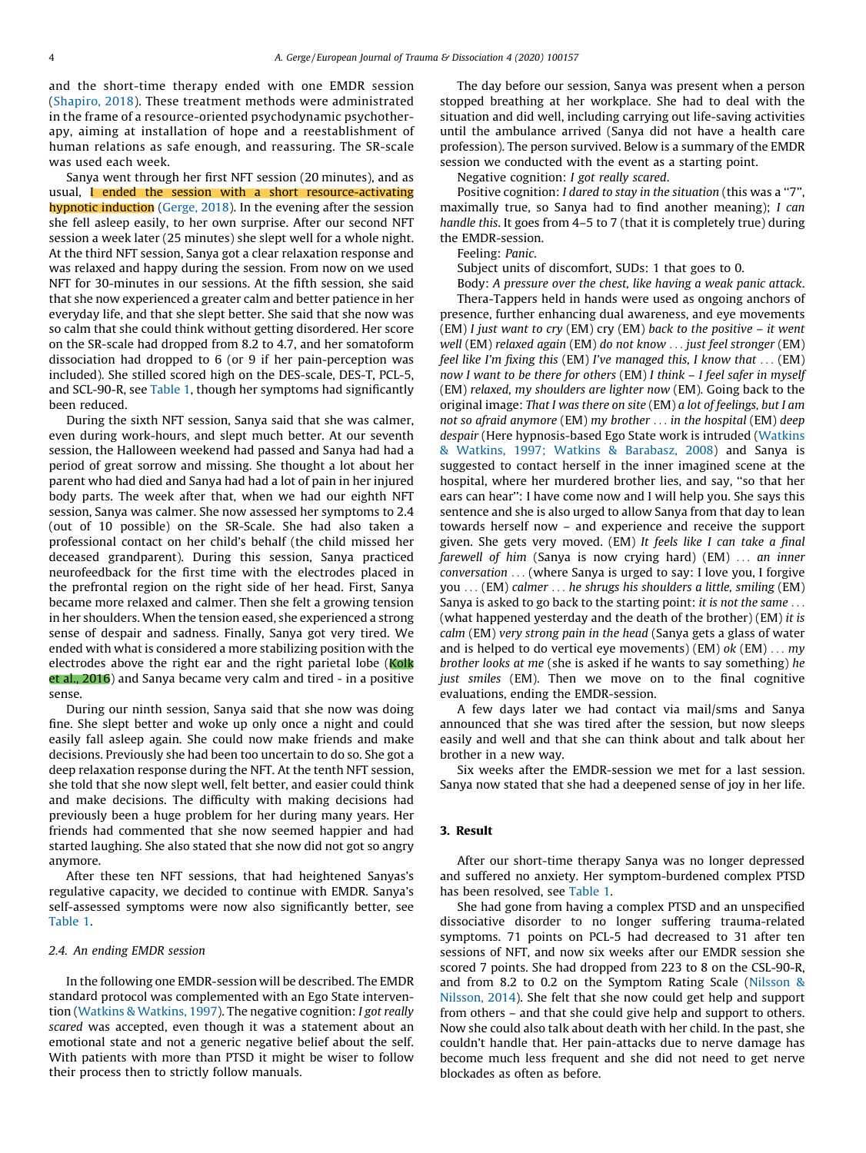and the short-time therapy ended with one EMDR session ([Shapiro,](#page-5-0) 2018). These treatment methods were administrated in the frame of a resource-oriented psychodynamic psychotherapy, aiming at installation of hope and a reestablishment of human relations as safe enough, and reassuring. The SR-scale was used each week.

Sanya went through her first NFT session (20 minutes), and as usual, I ended the session with a short resource-activating hypnotic induction ([Gerge,](#page-5-0) 2018). In the evening after the session she fell asleep easily, to her own surprise. After our second NFT session a week later (25 minutes) she slept well for a whole night. At the third NFT session, Sanya got a clear relaxation response and was relaxed and happy during the session. From now on we used NFT for 30-minutes in our sessions. At the fifth session, she said that she now experienced a greater calm and better patience in her everyday life, and that she slept better. She said that she now was so calm that she could think without getting disordered. Her score on the SR-scale had dropped from 8.2 to 4.7, and her somatoform dissociation had dropped to 6 (or 9 if her pain-perception was included). She stilled scored high on the DES-scale, DES-T, PCL-5, and SCL-90-R, see [Table](#page-2-0) 1, though her symptoms had significantly been reduced.

During the sixth NFT session, Sanya said that she was calmer, even during work-hours, and slept much better. At our seventh session, the Halloween weekend had passed and Sanya had had a period of great sorrow and missing. She thought a lot about her parent who had died and Sanya had had a lot of pain in her injured body parts. The week after that, when we had our eighth NFT session, Sanya was calmer. She now assessed her symptoms to 2.4 (out of 10 possible) on the SR-Scale. She had also taken a professional contact on her child's behalf (the child missed her deceased grandparent). During this session, Sanya practiced neurofeedback for the first time with the electrodes placed in the prefrontal region on the right side of her head. First, Sanya became more relaxed and calmer. Then she felt a growing tension in her shoulders. When the tension eased, she experienced a strong sense of despair and sadness. Finally, Sanya got very tired. We ended with what is considered a more stabilizing position with the electrodes above the right ear and the right parietal lobe (Kolk et al., 2016) and Sanya became very calm and tired - in a positive sense.

During our ninth session, Sanya said that she now was doing fine. She slept better and woke up only once a night and could easily fall asleep again. She could now make friends and make decisions. Previously she had been too uncertain to do so. She got a deep relaxation response during the NFT. At the tenth NFT session, she told that she now slept well, felt better, and easier could think and make decisions. The difficulty with making decisions had previously been a huge problem for her during many years. Her friends had commented that she now seemed happier and had started laughing. She also stated that she now did not got so angry anymore.

After these ten NFT sessions, that had heightened Sanyas's regulative capacity, we decided to continue with EMDR. Sanya's self-assessed symptoms were now also significantly better, see [Table](#page-2-0) 1.

#### 2.4. An ending EMDR session

In the following one EMDR-session will be described. The EMDR standard protocol was complemented with an Ego State intervention (Watkins & [Watkins,](#page-6-0) 1997). The negative cognition: I got really scared was accepted, even though it was a statement about an emotional state and not a generic negative belief about the self. With patients with more than PTSD it might be wiser to follow their process then to strictly follow manuals.

The day before our session, Sanya was present when a person stopped breathing at her workplace. She had to deal with the situation and did well, including carrying out life-saving activities until the ambulance arrived (Sanya did not have a health care profession). The person survived. Below is a summary of the EMDR session we conducted with the event as a starting point.

Negative cognition: I got really scared.

Positive cognition: I dared to stay in the situation (this was a ''7'', maximally true, so Sanya had to find another meaning); I can handle this. It goes from 4–5 to 7 (that it is completely true) during the EMDR-session.

Feeling: Panic.

Subject units of discomfort, SUDs: 1 that goes to 0.

Body: A pressure over the chest, like having a weak panic attack. Thera-Tappers held in hands were used as ongoing anchors of presence, further enhancing dual awareness, and eye movements  $(EM)$  I just want to cry  $(EM)$  cry  $(EM)$  back to the positive – it went well (EM) relaxed again (EM) do not know . . . just feel stronger (EM) feel like I'm fixing this (EM) I've managed this, I know that  $\dots$  (EM) now I want to be there for others (EM) I think – I feel safer in myself (EM) relaxed, my shoulders are lighter now (EM). Going back to the original image: That I was there on site (EM) a lot of feelings, but I am not so afraid anymore (EM) my brother . . . in the hospital (EM) deep despair (Here hypnosis-based Ego State work is intruded ([Watkins](#page-6-0) & Watkins, 1997; Watkins & [Barabasz,](#page-6-0) 2008) and Sanya is suggested to contact herself in the inner imagined scene at the hospital, where her murdered brother lies, and say, ''so that her ears can hear'': I have come now and I will help you. She says this sentence and she is also urged to allow Sanya from that day to lean towards herself now – and experience and receive the support given. She gets very moved. (EM) It feels like I can take a final farewell of him (Sanya is now crying hard) (EM)  $\ldots$  an inner conversation . . . (where Sanya is urged to say: I love you, I forgive you . . . (EM) calmer . . . he shrugs his shoulders a little, smiling (EM) Sanya is asked to go back to the starting point: it is not the same ... (what happened yesterday and the death of the brother) (EM) it is calm (EM) very strong pain in the head (Sanya gets a glass of water and is helped to do vertical eye movements) (EM)  $ok$  (EM)  $\dots$  my brother looks at me (she is asked if he wants to say something) he just smiles (EM). Then we move on to the final cognitive evaluations, ending the EMDR-session.

A few days later we had contact via mail/sms and Sanya announced that she was tired after the session, but now sleeps easily and well and that she can think about and talk about her brother in a new way.

Six weeks after the EMDR-session we met for a last session. Sanya now stated that she had a deepened sense of joy in her life.

#### 3. Result

After our short-time therapy Sanya was no longer depressed and suffered no anxiety. Her symptom-burdened complex PTSD has been resolved, see [Table](#page-2-0) 1.

She had gone from having a complex PTSD and an unspecified dissociative disorder to no longer suffering trauma-related symptoms. 71 points on PCL-5 had decreased to 31 after ten sessions of NFT, and now six weeks after our EMDR session she scored 7 points. She had dropped from 223 to 8 on the CSL-90-R, and from 8.2 to 0.2 on the Symptom Rating Scale [\(Nilsson](#page-5-0) & [Nilsson,](#page-5-0) 2014). She felt that she now could get help and support from others – and that she could give help and support to others. Now she could also talk about death with her child. In the past, she couldn't handle that. Her pain-attacks due to nerve damage has become much less frequent and she did not need to get nerve blockades as often as before.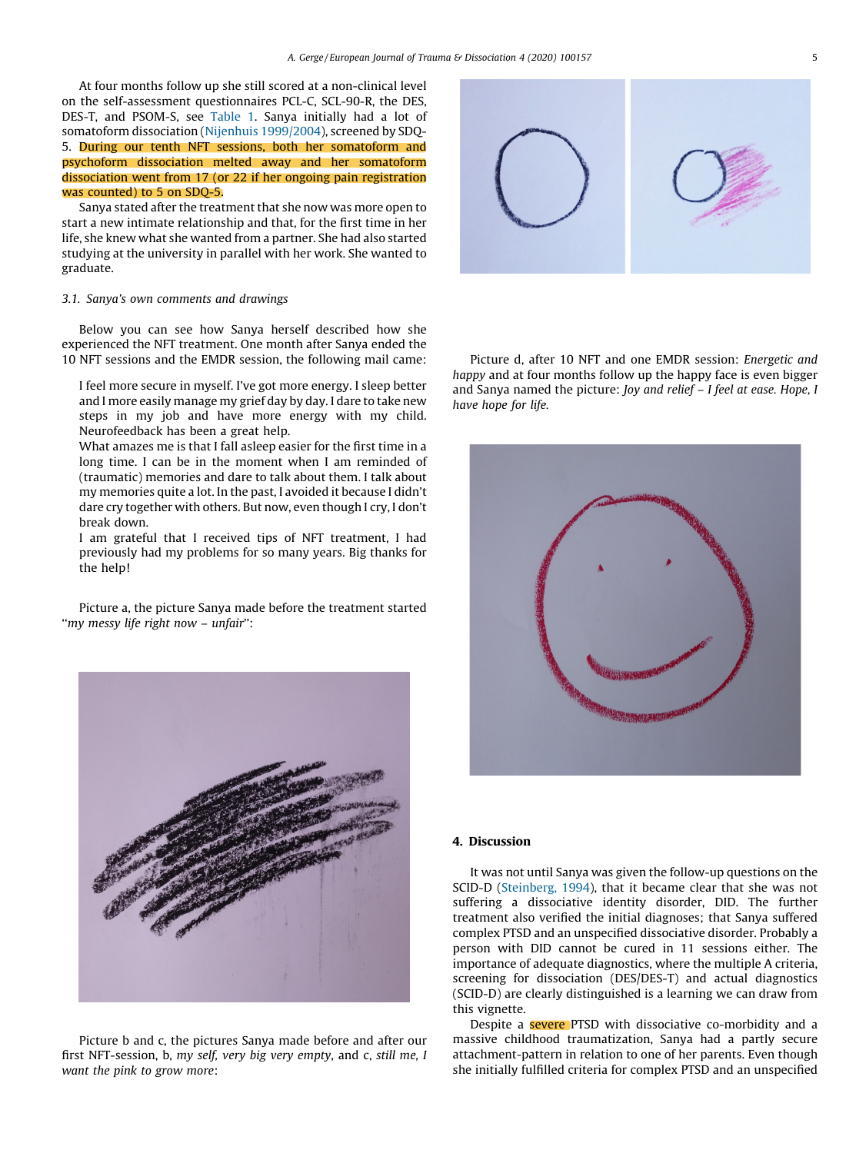At four months follow up she still scored at a non-clinical level on the self-assessment questionnaires PCL-C, SCL-90-R, the DES, DES-T, and PSOM-S, see [Table](#page-2-0) 1. Sanya initially had a lot of somatoform dissociation (Nijenhuis [1999/2004\)](#page-5-0), screened by SDQ-5. During our tenth NFT sessions, both her somatoform and psychoform dissociation melted away and her somatoform dissociation went from 17 (or 22 if her ongoing pain registration was counted) to 5 on SDQ-5.

Sanya stated after the treatment that she now was more open to start a new intimate relationship and that, for the first time in her life, she knew what she wanted from a partner. She had also started studying at the university in parallel with her work. She wanted to graduate.

#### 3.1. Sanya's own comments and drawings

Below you can see how Sanya herself described how she experienced the NFT treatment. One month after Sanya ended the 10 NFT sessions and the EMDR session, the following mail came:

I feel more secure in myself. I've got more energy. I sleep better and I more easily manage my grief day by day. I dare to take new steps in my job and have more energy with my child. Neurofeedback has been a great help.

What amazes me is that I fall asleep easier for the first time in a long time. I can be in the moment when I am reminded of (traumatic) memories and dare to talk about them. I talk about my memories quite a lot. In the past, I avoided it because I didn't dare cry together with others. But now, even though I cry, I don't break down.

I am grateful that I received tips of NFT treatment, I had previously had my problems for so many years. Big thanks for the help!

Picture a, the picture Sanya made before the treatment started ''my messy life right now – unfair'':



Picture b and c, the pictures Sanya made before and after our first NFT-session, b, my self, very big very empty, and c, still me, I want the pink to grow more:



Picture d, after 10 NFT and one EMDR session: Energetic and happy and at four months follow up the happy face is even bigger and Sanya named the picture: Joy and relief – I feel at ease. Hope, I have hope for life.



## 4. Discussion

It was not until Sanya was given the follow-up questions on the SCID-D [\(Steinberg,](#page-5-0) 1994), that it became clear that she was not suffering a dissociative identity disorder, DID. The further treatment also verified the initial diagnoses; that Sanya suffered complex PTSD and an unspecified dissociative disorder. Probably a person with DID cannot be cured in 11 sessions either. The importance of adequate diagnostics, where the multiple A criteria, screening for dissociation (DES/DES-T) and actual diagnostics (SCID-D) are clearly distinguished is a learning we can draw from this vignette.

Despite a **severe** PTSD with dissociative co-morbidity and a massive childhood traumatization, Sanya had a partly secure attachment-pattern in relation to one of her parents. Even though she initially fulfilled criteria for complex PTSD and an unspecified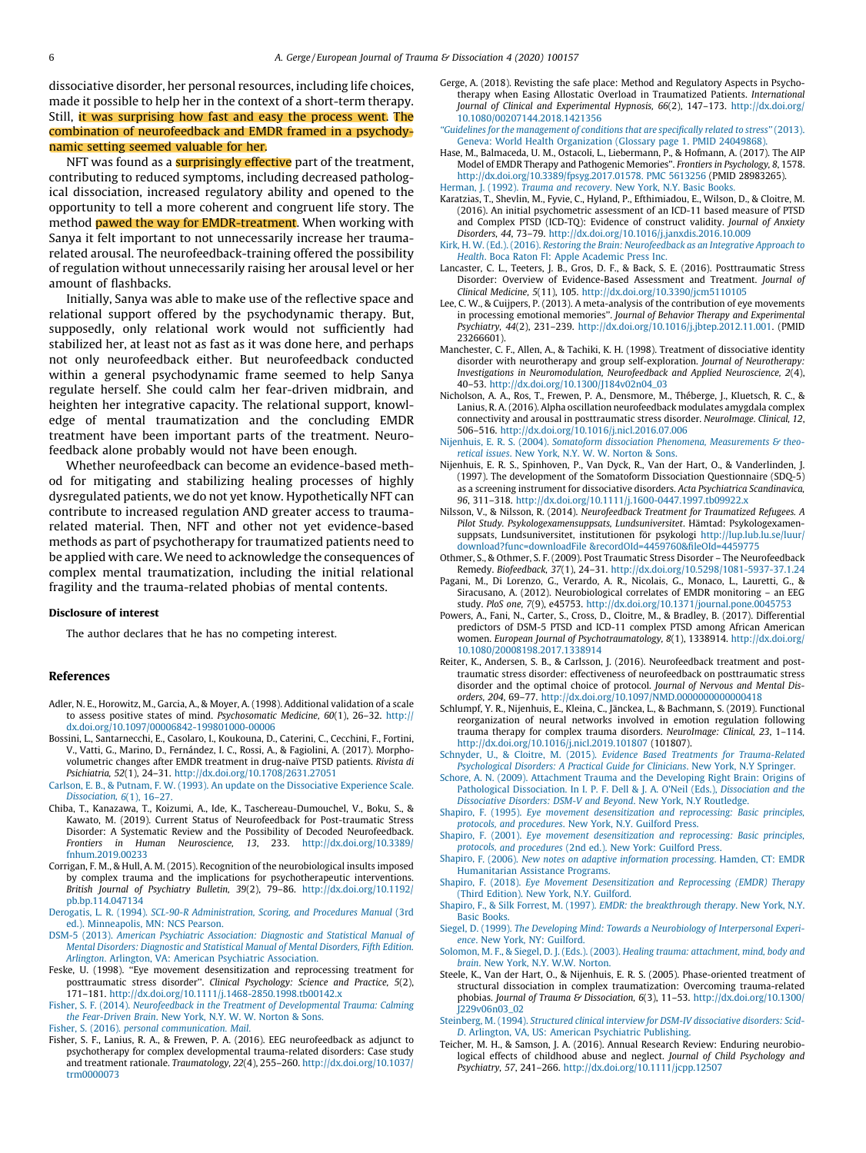<span id="page-5-0"></span>dissociative disorder, her personal resources, including life choices, made it possible to help her in the context of a short-term therapy. Still, it was surprising how fast and easy the process went. The combination of neurofeedback and EMDR framed in a psychodynamic setting seemed valuable for her.

NFT was found as a **surprisingly effective** part of the treatment, contributing to reduced symptoms, including decreased pathological dissociation, increased regulatory ability and opened to the opportunity to tell a more coherent and congruent life story. The method **pawed the way for EMDR-treatment**. When working with Sanya it felt important to not unnecessarily increase her traumarelated arousal. The neurofeedback-training offered the possibility of regulation without unnecessarily raising her arousal level or her amount of flashbacks.

Initially, Sanya was able to make use of the reflective space and relational support offered by the psychodynamic therapy. But, supposedly, only relational work would not sufficiently had stabilized her, at least not as fast as it was done here, and perhaps not only neurofeedback either. But neurofeedback conducted within a general psychodynamic frame seemed to help Sanya regulate herself. She could calm her fear-driven midbrain, and heighten her integrative capacity. The relational support, knowledge of mental traumatization and the concluding EMDR treatment have been important parts of the treatment. Neurofeedback alone probably would not have been enough.

Whether neurofeedback can become an evidence-based method for mitigating and stabilizing healing processes of highly dysregulated patients, we do not yet know. Hypothetically NFT can contribute to increased regulation AND greater access to traumarelated material. Then, NFT and other not yet evidence-based methods as part of psychotherapy for traumatized patients need to be applied with care. We need to acknowledge the consequences of complex mental traumatization, including the initial relational fragility and the trauma-related phobias of mental contents.

#### Disclosure of interest

The author declares that he has no competing interest.

#### References

- Adler, N. E., Horowitz, M., Garcia, A., & Moyer, A. (1998). Additional validation of a scale to assess positive states of mind. Psychosomatic Medicine, 60(1), 26–32. [http://](http://dx.doi.org/10.1097/00006842-199801000-00006) [dx.doi.org/10.1097/00006842-199801000-00006](http://dx.doi.org/10.1097/00006842-199801000-00006)
- Bossini, L., Santarnecchi, E., Casolaro, I., Koukouna, D., Caterini, C., Cecchini, F., Fortini, V., Vatti, G., Marino, D., Ferna´ndez, I. C., Rossi, A., & Fagiolini, A. (2017). Morphovolumetric changes after EMDR treatment in drug-naïve PTSD patients. Rivista di Psichiatria, 52(1), 24–31. <http://dx.doi.org/10.1708/2631.27051>
- Carlson, E. B., & Putnam, F. W. (1993). An update on the [Dissociative](http://refhub.elsevier.com/S2468-7499(20)30027-2/sbref0015) Experience Scale. [Dissociation,](http://refhub.elsevier.com/S2468-7499(20)30027-2/sbref0015) 6(1), 16–27.
- Chiba, T., Kanazawa, T., Koizumi, A., Ide, K., Taschereau-Dumouchel, V., Boku, S., & Kawato, M. (2019). Current Status of Neurofeedback for Post-traumatic Stress Disorder: A Systematic Review and the Possibility of Decoded Neurofeedback. Frontiers in Human Neuroscience, 13, 233. [http://dx.doi.org/10.3389/](http://dx.doi.org/10.3389/fnhum.2019.00233) [fnhum.2019.00233](http://dx.doi.org/10.3389/fnhum.2019.00233)
- Corrigan, F. M., & Hull, A. M. (2015). Recognition of the neurobiological insults imposed by complex trauma and the implications for psychotherapeutic interventions. British Journal of Psychiatry Bulletin, 39(2), 79–86. [http://dx.doi.org/10.1192/](http://dx.doi.org/10.1192/pb.bp.114.047134) [pb.bp.114.047134](http://dx.doi.org/10.1192/pb.bp.114.047134)
- Derogatis, L. R. (1994). SCL-90-R [Administration,](http://refhub.elsevier.com/S2468-7499(20)30027-2/sbref0030) Scoring, and Procedures Manual (3rd ed.). [Minneapolis,](http://refhub.elsevier.com/S2468-7499(20)30027-2/sbref0030) MN: NCS Pearson.
- DSM-5 (2013). American Psychiatric [Association:](http://refhub.elsevier.com/S2468-7499(20)30027-2/sbref0035) Diagnostic and Statistical Manual of Mental Disorders: [Diagnostic](http://refhub.elsevier.com/S2468-7499(20)30027-2/sbref0035) and Statistical Manual of Mental Disorders, Fifth Edition. Arlington. Arlington, VA: American Psychiatric [Association.](http://refhub.elsevier.com/S2468-7499(20)30027-2/sbref0035)
- Feske, U. (1998). "Eye movement desensitization and reprocessing treatment for posttraumatic stress disorder''. Clinical Psychology: Science and Practice, 5(2), 171–181. <http://dx.doi.org/10.1111/j.1468-2850.1998.tb00142.x>

Fisher, S. F. (2014). Neurofeedback in the Treatment of [Developmental](http://refhub.elsevier.com/S2468-7499(20)30027-2/sbref0045) Trauma: Calming the [Fear-Driven](http://refhub.elsevier.com/S2468-7499(20)30027-2/sbref0045) Brain. New York, N.Y. W. W. Norton & Sons.

Fisher, S. (2016). personal [communication.](http://refhub.elsevier.com/S2468-7499(20)30027-2/sbref0050) Mail.

Fisher, S. F., Lanius, R. A., & Frewen, P. A. (2016). EEG neurofeedback as adjunct to psychotherapy for complex developmental trauma-related disorders: Case study and treatment rationale. Traumatology, 22(4), 255–260. [http://dx.doi.org/10.1037/](http://dx.doi.org/10.1037/trm0000073) [trm0000073](http://dx.doi.org/10.1037/trm0000073)

- Gerge, A. (2018). Revisting the safe place: Method and Regulatory Aspects in Psychotherapy when Easing Allostatic Overload in Traumatized Patients. International Journal of Clinical and Experimental Hypnosis, 66(2), 147–173. [http://dx.doi.org/](http://dx.doi.org/10.1080/00207144.2018.1421356) [10.1080/00207144.2018.1421356](http://dx.doi.org/10.1080/00207144.2018.1421356)
- ''Guidelines for the [management](http://refhub.elsevier.com/S2468-7499(20)30027-2/sbref0065) of conditions that are specifically related to stress'' (2013). Geneva: World Health [Organization](http://refhub.elsevier.com/S2468-7499(20)30027-2/sbref0065) (Glossary page 1. PMID 24049868).
- Hase, M., Balmaceda, U. M., Ostacoli, L., Liebermann, P., & Hofmann, A. (2017). The AIP Model of EMDR Therapy and Pathogenic Memories''. Frontiers in Psychology, 8, 1578. [http://dx.doi.org/10.3389/fpsyg.2017.01578.](http://dx.doi.org/10.3389/fpsyg.2017.01578. PMC 5613256) PMC 5613256 (PMID 28983265). [Herman,](http://refhub.elsevier.com/S2468-7499(20)30027-2/sbref0075) J. (1992). Trauma and recovery. New York, N.Y. Basic Books.
- Karatzias, T., Shevlin, M., Fyvie, C., Hyland, P., Efthimiadou, E., Wilson, D., & Cloitre, M. (2016). An initial psychometric assessment of an ICD-11 based measure of PTSD and Complex PTSD (ICD-TQ): Evidence of construct validity. Journal of Anxiety Disorders, 44, 73–79. <http://dx.doi.org/10.1016/j.janxdis.2016.10.009>
- Kirk, H. W. (Ed.). (2016). Restoring the Brain: [Neurofeedback](http://refhub.elsevier.com/S2468-7499(20)30027-2/sbref0085) as an Integrative Approach to Health. Boca Raton Fl: Apple [Academic](http://refhub.elsevier.com/S2468-7499(20)30027-2/sbref0085) Press Inc.
- Lancaster, C. L., Teeters, J. B., Gros, D. F., & Back, S. E. (2016). Posttraumatic Stress Disorder: Overview of Evidence-Based Assessment and Treatment. Journal of Clinical Medicine, 5(11), 105. <http://dx.doi.org/10.3390/jcm5110105>
- Lee, C. W., & Cuijpers, P. (2013). A meta-analysis of the contribution of eye movements in processing emotional memories''. Journal of Behavior Therapy and Experimental Psychiatry, 44(2), 231–239. [http://dx.doi.org/10.1016/j.jbtep.2012.11.001.](http://dx.doi.org/10.1016/j.jbtep.2012.11.001) (PMID 23266601).
- Manchester, C. F., Allen, A., & Tachiki, K. H. (1998). Treatment of dissociative identity disorder with neurotherapy and group self-exploration. Journal of Neurotherapy: Investigations in Neuromodulation, Neurofeedback and Applied Neuroscience,  $2(4)$ , 40–53. [http://dx.doi.org/10.1300/J184v02n04\\_03](http://dx.doi.org/10.1300/J184v02n04_03)
- Nicholson, A. A., Ros, T., Frewen, P. A., Densmore, M., Théberge, J., Kluetsch, R. C., & Lanius, R. A. (2016). Alpha oscillation neurofeedback modulates amygdala complex connectivity and arousal in posttraumatic stress disorder. NeuroImage. Clinical, 12, 506–516. <http://dx.doi.org/10.1016/j.nicl.2016.07.006>
- Nijenhuis, E. R. S. (2004). Somatoform dissociation Phenomena, [Measurements](http://refhub.elsevier.com/S2468-7499(20)30027-2/sbref0110) & theoretical issues. New York, N.Y. W. W. [Norton](http://refhub.elsevier.com/S2468-7499(20)30027-2/sbref0110) & Sons.
- Nijenhuis, E. R. S., Spinhoven, P., Van Dyck, R., Van der Hart, O., & Vanderlinden, J. (1997). The development of the Somatoform Dissociation Questionnaire (SDQ-5) as a screening instrument for dissociative disorders. Acta Psychiatrica Scandinavica, 96, 311–318. <http://dx.doi.org/10.1111/j.1600-0447.1997.tb09922.x>
- Nilsson, V., & Nilsson, R. (2014). Neurofeedback Treatment for Traumatized Refugees. A Pilot Study. Psykologexamensuppsats, Lundsuniversitet. Hämtad: Psykologexamensuppsats, Lundsuniversitet, institutionen för psykologi [http://lup.lub.lu.se/luur/](http://lup.lub.lu.se/luur/download?func=downloadFile%20%26recordOId=4459760%26fileOId=4459775) download?func=downloadFile [&recordOId=4459760&fileOId=4459775](http://lup.lub.lu.se/luur/download?func=downloadFile%20%26recordOId=4459760%26fileOId=4459775)
- Othmer, S., & Othmer, S. F. (2009). Post Traumatic Stress Disorder The Neurofeedback Remedy. Biofeedback, 37(1), 24–31. <http://dx.doi.org/10.5298/1081-5937-37.1.24>
- Pagani, M., Di Lorenzo, G., Verardo, A. R., Nicolais, G., Monaco, L., Lauretti, G., & Siracusano, A. (2012). Neurobiological correlates of EMDR monitoring – an EEG study. PloS one, 7(9), e45753. <http://dx.doi.org/10.1371/journal.pone.0045753>
- Powers, A., Fani, N., Carter, S., Cross, D., Cloitre, M., & Bradley, B. (2017). Differential predictors of DSM-5 PTSD and ICD-11 complex PTSD among African American women. European Journal of Psychotraumatology, 8(1), 1338914. [http://dx.doi.org/](http://dx.doi.org/10.1080/20008198.2017.1338914) [10.1080/20008198.2017.1338914](http://dx.doi.org/10.1080/20008198.2017.1338914)
- Reiter, K., Andersen, S. B., & Carlsson, J. (2016). Neurofeedback treatment and posttraumatic stress disorder: effectiveness of neurofeedback on posttraumatic stress disorder and the optimal choice of protocol. Journal of Nervous and Mental Disorders, 204, 69–77. <http://dx.doi.org/10.1097/NMD.0000000000000418>
- Schlumpf, Y. R., Nijenhuis, E., Kleina, C., Jänckea, L., & Bachmann, S. (2019). Functional reorganization of neural networks involved in emotion regulation following trauma therapy for complex trauma disorders. NeuroImage: Clinical, 23, 1–114. <http://dx.doi.org/10.1016/j.nicl.2019.101807> (101807).
- Schnyder, U., & Cloitre, M. (2015). Evidence Based Treatments for [Trauma-Related](http://refhub.elsevier.com/S2468-7499(20)30027-2/sbref0150) [Psychological](http://refhub.elsevier.com/S2468-7499(20)30027-2/sbref0150) Disorders: A Practical Guide for Clinicians. New York, N.Y Springer.
- Schore, A. N. (2009). [Attachment](http://refhub.elsevier.com/S2468-7499(20)30027-2/sbref0155) Trauma and the Developing Right Brain: Origins of Pathological [Dissociation.](http://refhub.elsevier.com/S2468-7499(20)30027-2/sbref0155) In I. P. F. Dell & J. A. O'Neil (Eds.), Dissociation and the [Dissociative](http://refhub.elsevier.com/S2468-7499(20)30027-2/sbref0155) Disorders: DSM-V and Beyond. New York, N.Y Routledge.
- Shapiro, F. (1995). Eye movement [desensitization](http://refhub.elsevier.com/S2468-7499(20)30027-2/sbref0160) and reprocessing: Basic principles, protocols, and [procedures](http://refhub.elsevier.com/S2468-7499(20)30027-2/sbref0160). New York, N.Y. Guilford Press.
- Shapiro, F. (2001). Eye movement [desensitization](http://refhub.elsevier.com/S2468-7499(20)30027-2/sbref0165) and reprocessing: Basic principles, protocols, and [procedures](http://refhub.elsevier.com/S2468-7499(20)30027-2/sbref0165) (2nd ed.). New York: Guilford Press.
- Shapiro, F. (2006). New notes on adaptive [information](http://refhub.elsevier.com/S2468-7499(20)30027-2/sbref0170) processing. Hamden, CT: EMDR [Humanitarian](http://refhub.elsevier.com/S2468-7499(20)30027-2/sbref0170) Assistance Programs.
- Shapiro, F. (2018). Eye Movement [Desensitization](http://refhub.elsevier.com/S2468-7499(20)30027-2/sbref0175) and Reprocessing (EMDR) Therapy (Third [Edition\).](http://refhub.elsevier.com/S2468-7499(20)30027-2/sbref0175) New York, N.Y. Guilford.
- Shapiro, F., & Silk Forrest, M. (1997). EMDR: the [breakthrough](http://refhub.elsevier.com/S2468-7499(20)30027-2/sbref0180) therapy. New York, N.Y. Basic [Books](http://refhub.elsevier.com/S2468-7499(20)30027-2/sbref0180).
- Siegel, D. (1999). The Developing Mind: Towards a [Neurobiology](http://refhub.elsevier.com/S2468-7499(20)30027-2/sbref0185) of Interpersonal Experience. New York, NY: [Guilford](http://refhub.elsevier.com/S2468-7499(20)30027-2/sbref0185).
- Solomon, M. F., & Siegel, D. J. (Eds.). (2003). Healing trauma: [attachment,](http://refhub.elsevier.com/S2468-7499(20)30027-2/sbref0190) mind, body and brain. New York, N.Y. W.W. [Norton.](http://refhub.elsevier.com/S2468-7499(20)30027-2/sbref0190)
- Steele, K., Van der Hart, O., & Nijenhuis, E. R. S. (2005). Phase-oriented treatment of structural dissociation in complex traumatization: Overcoming trauma-related phobias. Journal of Trauma & Dissociation, 6(3), 11-53. [http://dx.doi.org/10.1300/](http://dx.doi.org/10.1300/J229v06n03_02) [J229v06n03\\_02](http://dx.doi.org/10.1300/J229v06n03_02)
- Steinberg, M. (1994). Structured clinical interview for DSM-IV [dissociative](http://refhub.elsevier.com/S2468-7499(20)30027-2/sbref0200) disorders: Scid-D. Arlington, VA, US: American [Psychiatric](http://refhub.elsevier.com/S2468-7499(20)30027-2/sbref0200) Publishing.
- Teicher, M. H., & Samson, J. A. (2016). Annual Research Review: Enduring neurobiological effects of childhood abuse and neglect. Journal of Child Psychology and Psychiatry, 57, 241–266. <http://dx.doi.org/10.1111/jcpp.12507>